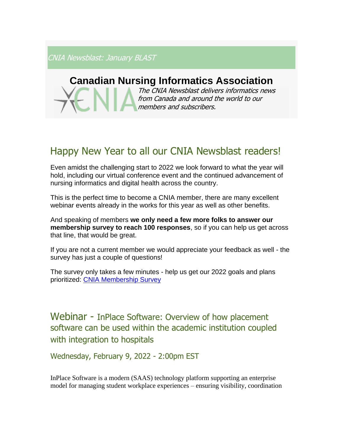CNIA Newsblast: January BLAST

# **Canadian Nursing Informatics Association**

The CNIA Newsblast delivers informatics news from Canada and around the world to our members and subscribers.

# Happy New Year to all our CNIA Newsblast readers!

Even amidst the challenging start to 2022 we look forward to what the year will hold, including our virtual conference event and the continued advancement of nursing informatics and digital health across the country.

This is the perfect time to become a CNIA member, there are many excellent webinar events already in the works for this year as well as other benefits.

And speaking of members **we only need a few more folks to answer our membership survey to reach 100 responses**, so if you can help us get across that line, that would be great.

If you are not a current member we would appreciate your feedback as well - the survey has just a couple of questions!

The survey only takes a few minutes - help us get our 2022 goals and plans prioritized: [CNIA Membership Survey](https://docs.google.com/forms/d/e/1FAIpQLSfqTho0Ufxrmfw6Es_pbyjj91v3QNoLSXItx04z5gsHcpdAvg/viewform)

Webinar - InPlace Software: Overview of how placement software can be used within the academic institution coupled with integration to hospitals

Wednesday, February 9, 2022 - 2:00pm EST

InPlace Software is a modern (SAAS) technology platform supporting an enterprise model for managing student workplace experiences – ensuring visibility, coordination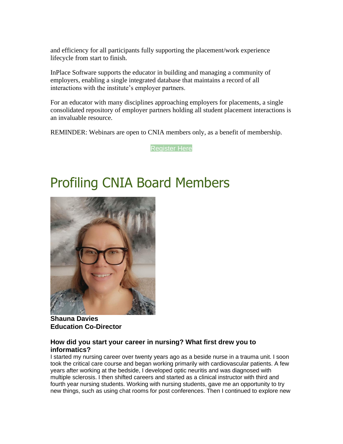and efficiency for all participants fully supporting the placement/work experience lifecycle from start to finish.

InPlace Software supports the educator in building and managing a community of employers, enabling a single integrated database that maintains a record of all interactions with the institute's employer partners.

For an educator with many disciplines approaching employers for placements, a single consolidated repository of employer partners holding all student placement interactions is an invaluable resource.

REMINDER: Webinars are open to CNIA members only, as a benefit of membership.

[Register Here](https://cnia.ca/events)

# Profiling CNIA Board Members



**Shauna Davies Education Co-Director**

# **How did you start your career in nursing? What first drew you to informatics?**

I started my nursing career over twenty years ago as a beside nurse in a trauma unit. I soon took the critical care course and began working primarily with cardiovascular patients. A few years after working at the bedside, I developed optic neuritis and was diagnosed with multiple sclerosis. I then shifted careers and started as a clinical instructor with third and fourth year nursing students. Working with nursing students, gave me an opportunity to try new things, such as using chat rooms for post conferences. Then I continued to explore new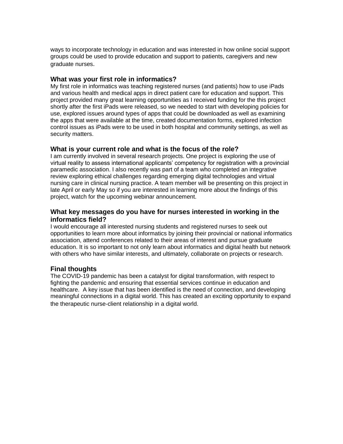ways to incorporate technology in education and was interested in how online social support groups could be used to provide education and support to patients, caregivers and new graduate nurses.

### **What was your first role in informatics?**

My first role in informatics was teaching registered nurses (and patients) how to use iPads and various health and medical apps in direct patient care for education and support. This project provided many great learning opportunities as I received funding for the this project shortly after the first iPads were released, so we needed to start with developing policies for use, explored issues around types of apps that could be downloaded as well as examining the apps that were available at the time, created documentation forms, explored infection control issues as iPads were to be used in both hospital and community settings, as well as security matters.

# **What is your current role and what is the focus of the role?**

I am currently involved in several research projects. One project is exploring the use of virtual reality to assess international applicants' competency for registration with a provincial paramedic association. I also recently was part of a team who completed an integrative review exploring ethical challenges regarding emerging digital technologies and virtual nursing care in clinical nursing practice. A team member will be presenting on this project in late April or early May so if you are interested in learning more about the findings of this project, watch for the upcoming webinar announcement.

# **What key messages do you have for nurses interested in working in the informatics field?**

I would encourage all interested nursing students and registered nurses to seek out opportunities to learn more about informatics by joining their provincial or national informatics association, attend conferences related to their areas of interest and pursue graduate education. It is so important to not only learn about informatics and digital health but network with others who have similar interests, and ultimately, collaborate on projects or research.

# **Final thoughts**

The COVID-19 pandemic has been a catalyst for digital transformation, with respect to fighting the pandemic and ensuring that essential services continue in education and healthcare. A key issue that has been identified is the need of connection, and developing meaningful connections in a digital world. This has created an exciting opportunity to expand the therapeutic nurse-client relationship in a digital world.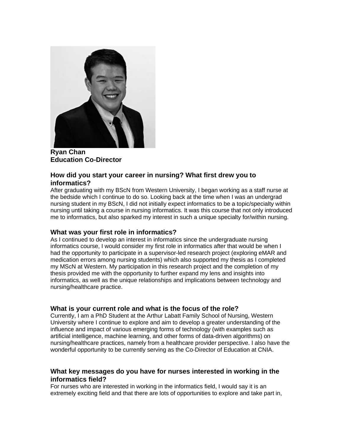

**Ryan Chan Education Co-Director**

# **How did you start your career in nursing? What first drew you to informatics?**

After graduating with my BScN from Western University, I began working as a staff nurse at the bedside which I continue to do so. Looking back at the time when I was an undergrad nursing student in my BScN, I did not initially expect informatics to be a topic/specialty within nursing until taking a course in nursing informatics. It was this course that not only introduced me to informatics, but also sparked my interest in such a unique specialty for/within nursing.

# **What was your first role in informatics?**

As I continued to develop an interest in informatics since the undergraduate nursing informatics course, I would consider my first role in informatics after that would be when I had the opportunity to participate in a supervisor-led research project (exploring eMAR and medication errors among nursing students) which also supported my thesis as I completed my MScN at Western. My participation in this research project and the completion of my thesis provided me with the opportunity to further expand my lens and insights into informatics, as well as the unique relationships and implications between technology and nursing/healthcare practice.

# **What is your current role and what is the focus of the role?**

Currently, I am a PhD Student at the Arthur Labatt Family School of Nursing, Western University where I continue to explore and aim to develop a greater understanding of the influence and impact of various emerging forms of technology (with examples such as artificial intelligence, machine learning, and other forms of data-driven algorithms) on nursing/healthcare practices, namely from a healthcare provider perspective. I also have the wonderful opportunity to be currently serving as the Co-Director of Education at CNIA.

# **What key messages do you have for nurses interested in working in the informatics field?**

For nurses who are interested in working in the informatics field, I would say it is an extremely exciting field and that there are lots of opportunities to explore and take part in,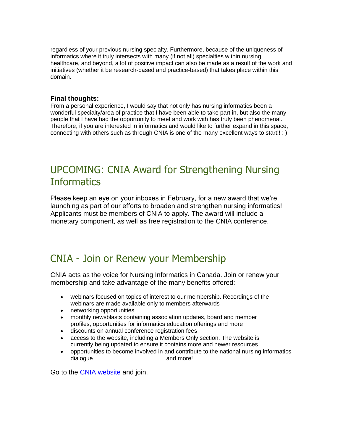regardless of your previous nursing specialty. Furthermore, because of the uniqueness of informatics where it truly intersects with many (if not all) specialties within nursing, healthcare, and beyond, a lot of positive impact can also be made as a result of the work and initiatives (whether it be research-based and practice-based) that takes place within this domain.

# **Final thoughts:**

From a personal experience, I would say that not only has nursing informatics been a wonderful specialty/area of practice that I have been able to take part in, but also the many people that I have had the opportunity to meet and work with has truly been phenomenal. Therefore, if you are interested in informatics and would like to further expand in this space, connecting with others such as through CNIA is one of the many excellent ways to start!! : )

# UPCOMING: CNIA Award for Strengthening Nursing **Informatics**

Please keep an eye on your inboxes in February, for a new award that we're launching as part of our efforts to broaden and strengthen nursing informatics! Applicants must be members of CNIA to apply. The award will include a monetary component, as well as free registration to the CNIA conference.

# CNIA - Join or Renew your Membership

CNIA acts as the voice for Nursing Informatics in Canada. Join or renew your membership and take advantage of the many benefits offered:

- webinars focused on topics of interest to our membership. Recordings of the webinars are made available only to members afterwards
- networking opportunities
- monthly newsblasts containing association updates, board and member profiles, opportunities for informatics education offerings and more
- discounts on annual conference registration fees
- access to the website, including a Members Only section. The website is currently being updated to ensure it contains more and newer resources
- opportunities to become involved in and contribute to the national nursing informatics dialogue and more!

Go to the CNIA website and join.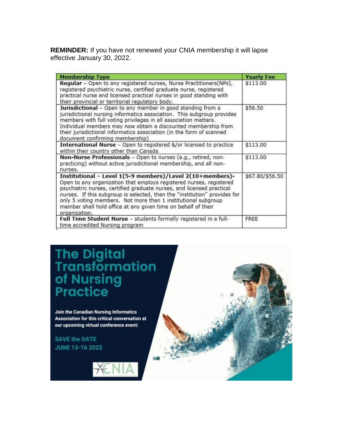**REMINDER:** If you have not renewed your CNIA membership it will lapse effective January 30, 2022.

| <b>Membership Type</b>                                                                                                                                                                                                                                                                                                                                                                                                                    | <b>Yearly Fee</b> |
|-------------------------------------------------------------------------------------------------------------------------------------------------------------------------------------------------------------------------------------------------------------------------------------------------------------------------------------------------------------------------------------------------------------------------------------------|-------------------|
| Regular - Open to any registered nurses, Nurse Practitioners(NPs),<br>registered psychiatric nurse, certified graduate nurse, registered<br>practical nurse and licensed practical nurses in good standing with<br>their provincial or territorial regulatory body.                                                                                                                                                                       | \$113.00          |
| Jurisdictional - Open to any member in good standing from a<br>jurisdictional nursing informatics association. This subgroup provides<br>members with full voting privileges in all association matters.<br>Individual members may now obtain a discounted membership from<br>their jurisdictional informatics association (in the form of scanned<br>document confirming membership)                                                     | \$56.50           |
| International Nurse - Open to registered &/or licensed to practice<br>within their country other than Canada                                                                                                                                                                                                                                                                                                                              | \$113.00          |
| Non-Nurse Professionals - Open to nurses (e.g., retired, non-<br>practicing) without active jurisdictional membership, and all non-<br>nurses.                                                                                                                                                                                                                                                                                            | \$113.00          |
| Institutional - Level 1(5-9 members)/Level 2(10+members)-<br>Open to any organization that employs registered nurses, registered<br>psychiatric nurses, certified graduate nurses, and licensed practical<br>nurses. If this subgroup is selected, then the "institution" provides for<br>only 5 voting members. Not more than 1 institutional subgroup<br>member shall hold office at any given time on behalf of their<br>organization. | \$67.80/\$56.50   |
| Full Time Student Nurse - students formally registered in a full-<br>time accredited Nursing program                                                                                                                                                                                                                                                                                                                                      | FREE              |

# The Digital<br>Transformation<br>of Nursing<br>Practice

Join the Canadian Nursing Informatics Association for this critical conversation at our upcoming virtual conference event:

**SAVE the DATE** JUNE 13-16 2022



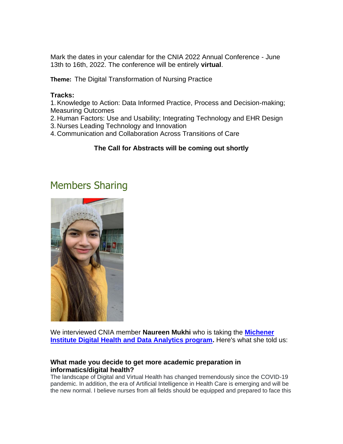Mark the dates in your calendar for the CNIA 2022 Annual Conference - June 13th to 16th, 2022. The conference will be entirely **virtual**.

**Theme:** The Digital Transformation of Nursing Practice

# **Tracks:**

1.Knowledge to Action: Data Informed Practice, Process and Decision-making; Measuring Outcomes

- 2. Human Factors: Use and Usability; Integrating Technology and EHR Design
- 3. Nurses Leading Technology and Innovation
- 4. Communication and Collaboration Across Transitions of Care

# **The Call for Abstracts will be coming out shortly**

# Members Sharing



We interviewed CNIA member **Naureen Mukhi** who is taking the **[Michener](https://michener.ca/program/dhda/)  [Institute Digital Health and Data Analytics program.](https://michener.ca/program/dhda/)** Here's what she told us:

# **What made you decide to get more academic preparation in informatics/digital health?**

The landscape of Digital and Virtual Health has changed tremendously since the COVID-19 pandemic. In addition, the era of Artificial Intelligence in Health Care is emerging and will be the new normal. I believe nurses from all fields should be equipped and prepared to face this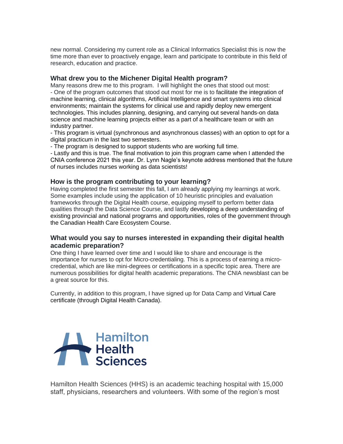new normal. Considering my current role as a Clinical Informatics Specialist this is now the time more than ever to proactively engage, learn and participate to contribute in this field of research, education and practice.

# **What drew you to the Michener Digital Health program?**

Many reasons drew me to this program. I will highlight the ones that stood out most: - One of the program outcomes that stood out most for me is to facilitate the integration of machine learning, clinical algorithms, Artificial Intelligence and smart systems into clinical environments; maintain the systems for clinical use and rapidly deploy new emergent technologies. This includes planning, designing, and carrying out several hands-on data science and machine learning projects either as a part of a healthcare team or with an industry partner.

- This program is virtual (synchronous and asynchronous classes) with an option to opt for a digital practicum in the last two semesters.

- The program is designed to support students who are working full time.

- Lastly and this is true. The final motivation to join this program came when I attended the CNIA conference 2021 this year. Dr. Lynn Nagle's keynote address mentioned that the future of nurses includes nurses working as data scientists!

### **How is the program contributing to your learning?**

Having completed the first semester this fall, I am already applying my learnings at work. Some examples include using the application of 10 heuristic principles and evaluation frameworks through the Digital Health course, equipping myself to perform better data qualities through the Data Science Course, and lastly developing a deep understanding of existing provincial and national programs and opportunities, roles of the government through the Canadian Health Care Ecosystem Course.

# **What would you say to nurses interested in expanding their digital health academic preparation?**

One thing I have learned over time and I would like to share and encourage is the importance for nurses to opt for Micro-credentialing. This is a process of earning a microcredential, which are like mini-degrees or certifications in a specific topic area. There are numerous possibilities for digital health academic preparations. The CNIA newsblast can be a great source for this.

Currently, in addition to this program, I have signed up for Data Camp and Virtual Care certificate (through Digital Health Canada).



Hamilton Health Sciences (HHS) is an academic teaching hospital with 15,000 staff, physicians, researchers and volunteers. With some of the region's most